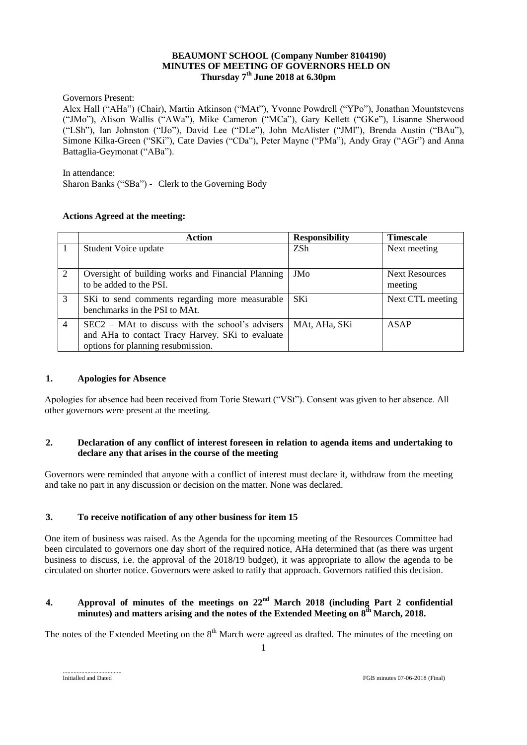## **BEAUMONT SCHOOL (Company Number 8104190) MINUTES OF MEETING OF GOVERNORS HELD ON Thursday 7 th June 2018 at 6.30pm**

Governors Present:

Alex Hall ("AHa") (Chair), Martin Atkinson ("MAt"), Yvonne Powdrell ("YPo"), Jonathan Mountstevens ("JMo"), Alison Wallis ("AWa"), Mike Cameron ("MCa"), Gary Kellett ("GKe"), Lisanne Sherwood ("LSh"), Ian Johnston ("IJo"), David Lee ("DLe"), John McAlister ("JMl"), Brenda Austin ("BAu"), Simone Kilka-Green ("SKi"), Cate Davies ("CDa"), Peter Mayne ("PMa"), Andy Gray ("AGr") and Anna Battaglia-Geymonat ("ABa").

In attendance:

Sharon Banks ("SBa") - Clerk to the Governing Body

### **Actions Agreed at the meeting:**

|                | <b>Action</b>                                                                                                                                | <b>Responsibility</b> | <b>Timescale</b>                 |
|----------------|----------------------------------------------------------------------------------------------------------------------------------------------|-----------------------|----------------------------------|
|                | Student Voice update                                                                                                                         | ZSh                   | Next meeting                     |
| 2              | Oversight of building works and Financial Planning<br>to be added to the PSI.                                                                | JMo                   | <b>Next Resources</b><br>meeting |
| 3              | SKi to send comments regarding more measurable<br>benchmarks in the PSI to MAt.                                                              | <b>SKi</b>            | Next CTL meeting                 |
| $\overline{4}$ | $SEC2 - Mat$ to discuss with the school's advisers<br>and AHa to contact Tracy Harvey. SKi to evaluate<br>options for planning resubmission. | MAt. AHa. SKi         | <b>ASAP</b>                      |

#### **1. Apologies for Absence**

Apologies for absence had been received from Torie Stewart ("VSt"). Consent was given to her absence. All other governors were present at the meeting.

## **2. Declaration of any conflict of interest foreseen in relation to agenda items and undertaking to declare any that arises in the course of the meeting**

Governors were reminded that anyone with a conflict of interest must declare it, withdraw from the meeting and take no part in any discussion or decision on the matter. None was declared.

## **3. To receive notification of any other business for item 15**

One item of business was raised. As the Agenda for the upcoming meeting of the Resources Committee had been circulated to governors one day short of the required notice, AHa determined that (as there was urgent business to discuss, i.e. the approval of the 2018/19 budget), it was appropriate to allow the agenda to be circulated on shorter notice. Governors were asked to ratify that approach. Governors ratified this decision.

## **4. Approval of minutes of the meetings on**  $22<sup>nd</sup>$  **March 2018 (including Part 2 confidential minutes) and matters arising and the notes of the Extended Meeting on 8th March, 2018.**

The notes of the Extended Meeting on the  $8<sup>th</sup>$  March were agreed as drafted. The minutes of the meeting on

......................................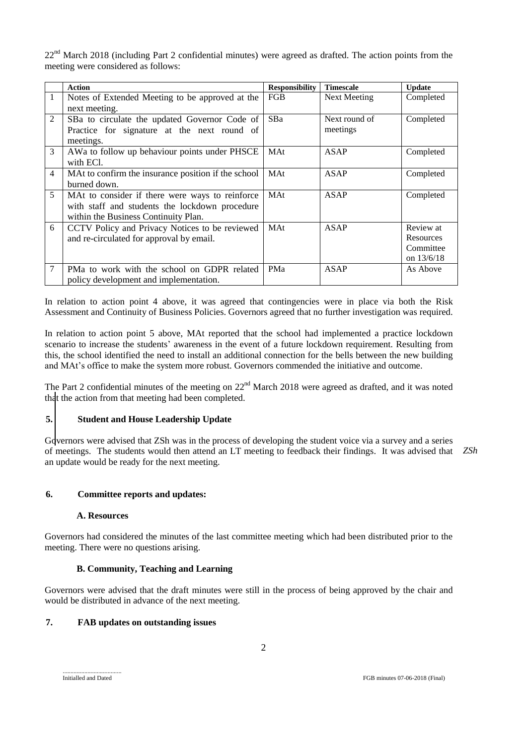22<sup>nd</sup> March 2018 (including Part 2 confidential minutes) were agreed as drafted. The action points from the meeting were considered as follows:

|                | <b>Action</b>                                       | <b>Responsibility</b> | <b>Timescale</b>    | <b>Update</b> |
|----------------|-----------------------------------------------------|-----------------------|---------------------|---------------|
| 1              | Notes of Extended Meeting to be approved at the     | <b>FGB</b>            | <b>Next Meeting</b> | Completed     |
|                | next meeting.                                       |                       |                     |               |
| 2              | SBa to circulate the updated Governor Code of       | <b>SBa</b>            | Next round of       | Completed     |
|                | Practice for signature at the next round of         |                       | meetings            |               |
|                | meetings.                                           |                       |                     |               |
| 3              | AWa to follow up behaviour points under PHSCE       | <b>MAt</b>            | ASAP                | Completed     |
|                | with ECI.                                           |                       |                     |               |
| $\overline{4}$ | MAt to confirm the insurance position if the school | <b>MAt</b>            | ASAP                | Completed     |
|                | burned down.                                        |                       |                     |               |
| 5              | MAt to consider if there were ways to reinforce     | MAt                   | ASAP                | Completed     |
|                | with staff and students the lockdown procedure      |                       |                     |               |
|                | within the Business Continuity Plan.                |                       |                     |               |
| 6              | CCTV Policy and Privacy Notices to be reviewed      | MAt                   | <b>ASAP</b>         | Review at     |
|                | and re-circulated for approval by email.            |                       |                     | Resources     |
|                |                                                     |                       |                     | Committee     |
|                |                                                     |                       |                     | on 13/6/18    |
| 7              | PMa to work with the school on GDPR related         | PMa                   | <b>ASAP</b>         | As Above      |
|                | policy development and implementation.              |                       |                     |               |

In relation to action point 4 above, it was agreed that contingencies were in place via both the Risk Assessment and Continuity of Business Policies. Governors agreed that no further investigation was required.

In relation to action point 5 above, MAt reported that the school had implemented a practice lockdown scenario to increase the students' awareness in the event of a future lockdown requirement. Resulting from this, the school identified the need to install an additional connection for the bells between the new building and MAt's office to make the system more robust. Governors commended the initiative and outcome.

The Part 2 confidential minutes of the meeting on 22<sup>nd</sup> March 2018 were agreed as drafted, and it was noted that the action from that meeting had been completed.

## **5. Student and House Leadership Update**

Governors were advised that ZSh was in the process of developing the student voice via a survey and a series of meetings. The students would then attend an LT meeting to feedback their findings. It was advised that *ZSh*an update would be ready for the next meeting.

## **6. Committee reports and updates:**

#### **A. Resources**

Governors had considered the minutes of the last committee meeting which had been distributed prior to the meeting. There were no questions arising.

## **B. Community, Teaching and Learning**

Governors were advised that the draft minutes were still in the process of being approved by the chair and would be distributed in advance of the next meeting.

## **7. FAB updates on outstanding issues**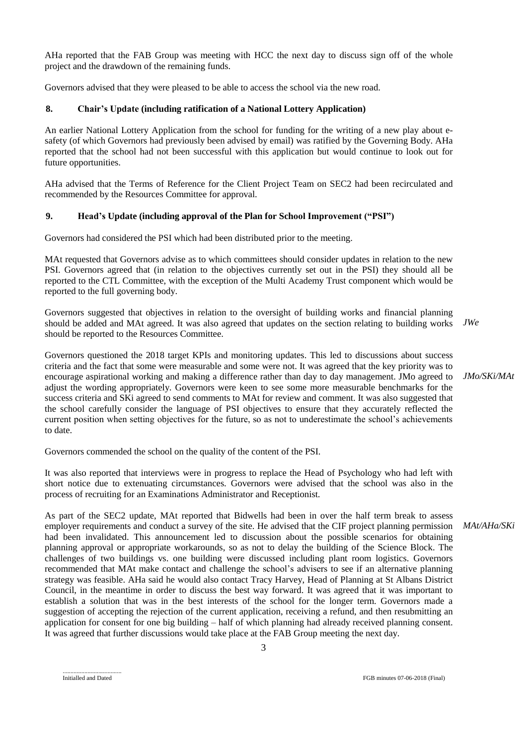AHa reported that the FAB Group was meeting with HCC the next day to discuss sign off of the whole project and the drawdown of the remaining funds.

Governors advised that they were pleased to be able to access the school via the new road.

## **8. Chair's Update (including ratification of a National Lottery Application)**

An earlier National Lottery Application from the school for funding for the writing of a new play about esafety (of which Governors had previously been advised by email) was ratified by the Governing Body. AHa reported that the school had not been successful with this application but would continue to look out for future opportunities.

AHa advised that the Terms of Reference for the Client Project Team on SEC2 had been recirculated and recommended by the Resources Committee for approval.

### **9. Head's Update (including approval of the Plan for School Improvement ("PSI")**

Governors had considered the PSI which had been distributed prior to the meeting.

MAt requested that Governors advise as to which committees should consider updates in relation to the new PSI. Governors agreed that (in relation to the objectives currently set out in the PSI) they should all be reported to the CTL Committee, with the exception of the Multi Academy Trust component which would be reported to the full governing body.

Governors suggested that objectives in relation to the oversight of building works and financial planning should be added and MAt agreed. It was also agreed that updates on the section relating to building works should be reported to the Resources Committee. *JWe*

Governors questioned the 2018 target KPIs and monitoring updates. This led to discussions about success criteria and the fact that some were measurable and some were not. It was agreed that the key priority was to encourage aspirational working and making a difference rather than day to day management. JMo agreed to adjust the wording appropriately. Governors were keen to see some more measurable benchmarks for the success criteria and SKi agreed to send comments to MAt for review and comment. It was also suggested that the school carefully consider the language of PSI objectives to ensure that they accurately reflected the current position when setting objectives for the future, so as not to underestimate the school's achievements to date.

Governors commended the school on the quality of the content of the PSI.

It was also reported that interviews were in progress to replace the Head of Psychology who had left with short notice due to extenuating circumstances. Governors were advised that the school was also in the process of recruiting for an Examinations Administrator and Receptionist.

As part of the SEC2 update, MAt reported that Bidwells had been in over the half term break to assess employer requirements and conduct a survey of the site. He advised that the CIF project planning permission had been invalidated. This announcement led to discussion about the possible scenarios for obtaining planning approval or appropriate workarounds, so as not to delay the building of the Science Block. The challenges of two buildings vs. one building were discussed including plant room logistics. Governors recommended that MAt make contact and challenge the school's advisers to see if an alternative planning strategy was feasible. AHa said he would also contact Tracy Harvey, Head of Planning at St Albans District Council, in the meantime in order to discuss the best way forward. It was agreed that it was important to establish a solution that was in the best interests of the school for the longer term. Governors made a suggestion of accepting the rejection of the current application, receiving a refund, and then resubmitting an application for consent for one big building – half of which planning had already received planning consent. It was agreed that further discussions would take place at the FAB Group meeting the next day. *MAt/AHa/SKi*

*JMo/SKi/MAt*

<sup>......................................</sup>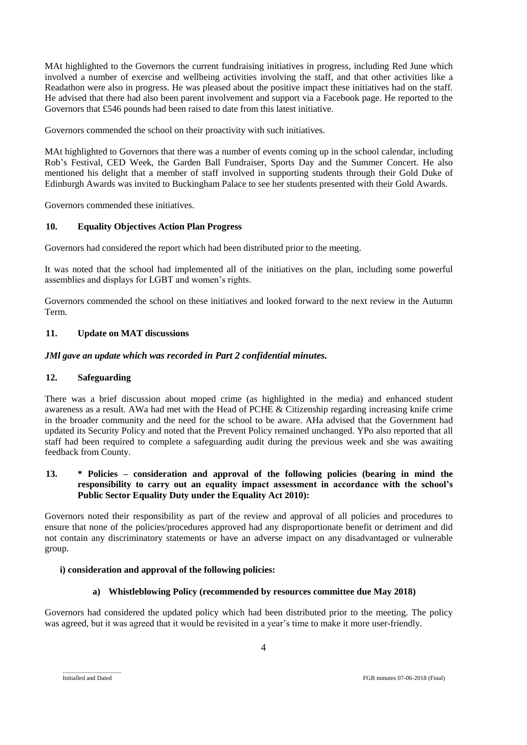MAt highlighted to the Governors the current fundraising initiatives in progress, including Red June which involved a number of exercise and wellbeing activities involving the staff, and that other activities like a Readathon were also in progress. He was pleased about the positive impact these initiatives had on the staff. He advised that there had also been parent involvement and support via a Facebook page. He reported to the Governors that £546 pounds had been raised to date from this latest initiative.

Governors commended the school on their proactivity with such initiatives.

MAt highlighted to Governors that there was a number of events coming up in the school calendar, including Rob's Festival, CED Week, the Garden Ball Fundraiser, Sports Day and the Summer Concert. He also mentioned his delight that a member of staff involved in supporting students through their Gold Duke of Edinburgh Awards was invited to Buckingham Palace to see her students presented with their Gold Awards.

Governors commended these initiatives.

#### **10. Equality Objectives Action Plan Progress**

Governors had considered the report which had been distributed prior to the meeting.

It was noted that the school had implemented all of the initiatives on the plan, including some powerful assemblies and displays for LGBT and women's rights.

Governors commended the school on these initiatives and looked forward to the next review in the Autumn Term.

### **11. Update on MAT discussions**

### *JMl gave an update which was recorded in Part 2 confidential minutes.*

#### **12. Safeguarding**

There was a brief discussion about moped crime (as highlighted in the media) and enhanced student awareness as a result. AWa had met with the Head of PCHE & Citizenship regarding increasing knife crime in the broader community and the need for the school to be aware. AHa advised that the Government had updated its Security Policy and noted that the Prevent Policy remained unchanged. YPo also reported that all staff had been required to complete a safeguarding audit during the previous week and she was awaiting feedback from County.

### **13. \* Policies – consideration and approval of the following policies (bearing in mind the responsibility to carry out an equality impact assessment in accordance with the school's Public Sector Equality Duty under the Equality Act 2010):**

Governors noted their responsibility as part of the review and approval of all policies and procedures to ensure that none of the policies/procedures approved had any disproportionate benefit or detriment and did not contain any discriminatory statements or have an adverse impact on any disadvantaged or vulnerable group.

#### **i) consideration and approval of the following policies:**

#### **a) Whistleblowing Policy (recommended by resources committee due May 2018)**

Governors had considered the updated policy which had been distributed prior to the meeting. The policy was agreed, but it was agreed that it would be revisited in a year's time to make it more user-friendly.